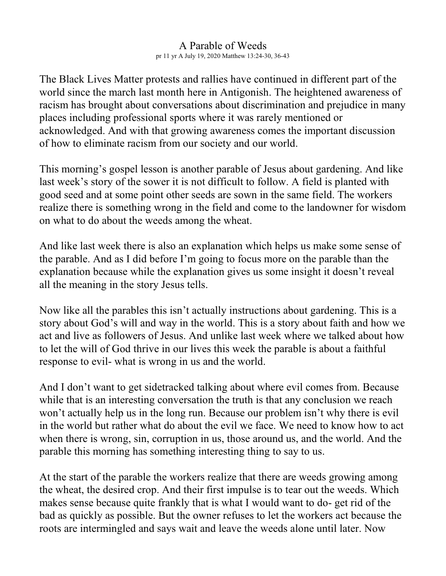## A Parable of Weeds pr 11 yr A July 19, 2020 Matthew 13:24-30, 36-43

The Black Lives Matter protests and rallies have continued in different part of the world since the march last month here in Antigonish. The heightened awareness of racism has brought about conversations about discrimination and prejudice in many places including professional sports where it was rarely mentioned or acknowledged. And with that growing awareness comes the important discussion of how to eliminate racism from our society and our world.

This morning's gospel lesson is another parable of Jesus about gardening. And like last week's story of the sower it is not difficult to follow. A field is planted with good seed and at some point other seeds are sown in the same field. The workers realize there is something wrong in the field and come to the landowner for wisdom on what to do about the weeds among the wheat.

And like last week there is also an explanation which helps us make some sense of the parable. And as I did before I'm going to focus more on the parable than the explanation because while the explanation gives us some insight it doesn't reveal all the meaning in the story Jesus tells.

Now like all the parables this isn't actually instructions about gardening. This is a story about God's will and way in the world. This is a story about faith and how we act and live as followers of Jesus. And unlike last week where we talked about how to let the will of God thrive in our lives this week the parable is about a faithful response to evil- what is wrong in us and the world.

And I don't want to get sidetracked talking about where evil comes from. Because while that is an interesting conversation the truth is that any conclusion we reach won't actually help us in the long run. Because our problem isn't why there is evil in the world but rather what do about the evil we face. We need to know how to act when there is wrong, sin, corruption in us, those around us, and the world. And the parable this morning has something interesting thing to say to us.

At the start of the parable the workers realize that there are weeds growing among the wheat, the desired crop. And their first impulse is to tear out the weeds. Which makes sense because quite frankly that is what I would want to do- get rid of the bad as quickly as possible. But the owner refuses to let the workers act because the roots are intermingled and says wait and leave the weeds alone until later. Now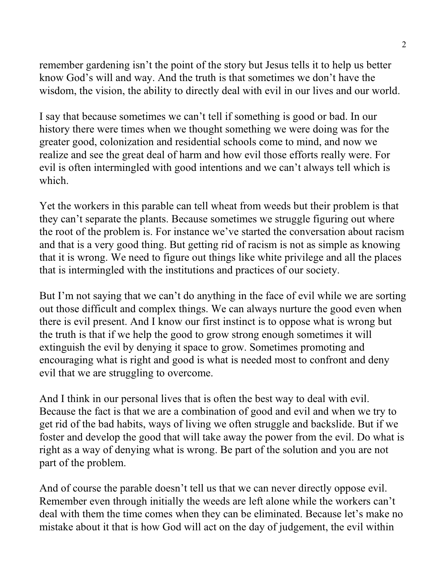remember gardening isn't the point of the story but Jesus tells it to help us better know God's will and way. And the truth is that sometimes we don't have the wisdom, the vision, the ability to directly deal with evil in our lives and our world.

I say that because sometimes we can't tell if something is good or bad. In our history there were times when we thought something we were doing was for the greater good, colonization and residential schools come to mind, and now we realize and see the great deal of harm and how evil those efforts really were. For evil is often intermingled with good intentions and we can't always tell which is which.

Yet the workers in this parable can tell wheat from weeds but their problem is that they can't separate the plants. Because sometimes we struggle figuring out where the root of the problem is. For instance we've started the conversation about racism and that is a very good thing. But getting rid of racism is not as simple as knowing that it is wrong. We need to figure out things like white privilege and all the places that is intermingled with the institutions and practices of our society.

But I'm not saying that we can't do anything in the face of evil while we are sorting out those difficult and complex things. We can always nurture the good even when there is evil present. And I know our first instinct is to oppose what is wrong but the truth is that if we help the good to grow strong enough sometimes it will extinguish the evil by denying it space to grow. Sometimes promoting and encouraging what is right and good is what is needed most to confront and deny evil that we are struggling to overcome.

And I think in our personal lives that is often the best way to deal with evil. Because the fact is that we are a combination of good and evil and when we try to get rid of the bad habits, ways of living we often struggle and backslide. But if we foster and develop the good that will take away the power from the evil. Do what is right as a way of denying what is wrong. Be part of the solution and you are not part of the problem.

And of course the parable doesn't tell us that we can never directly oppose evil. Remember even through initially the weeds are left alone while the workers can't deal with them the time comes when they can be eliminated. Because let's make no mistake about it that is how God will act on the day of judgement, the evil within